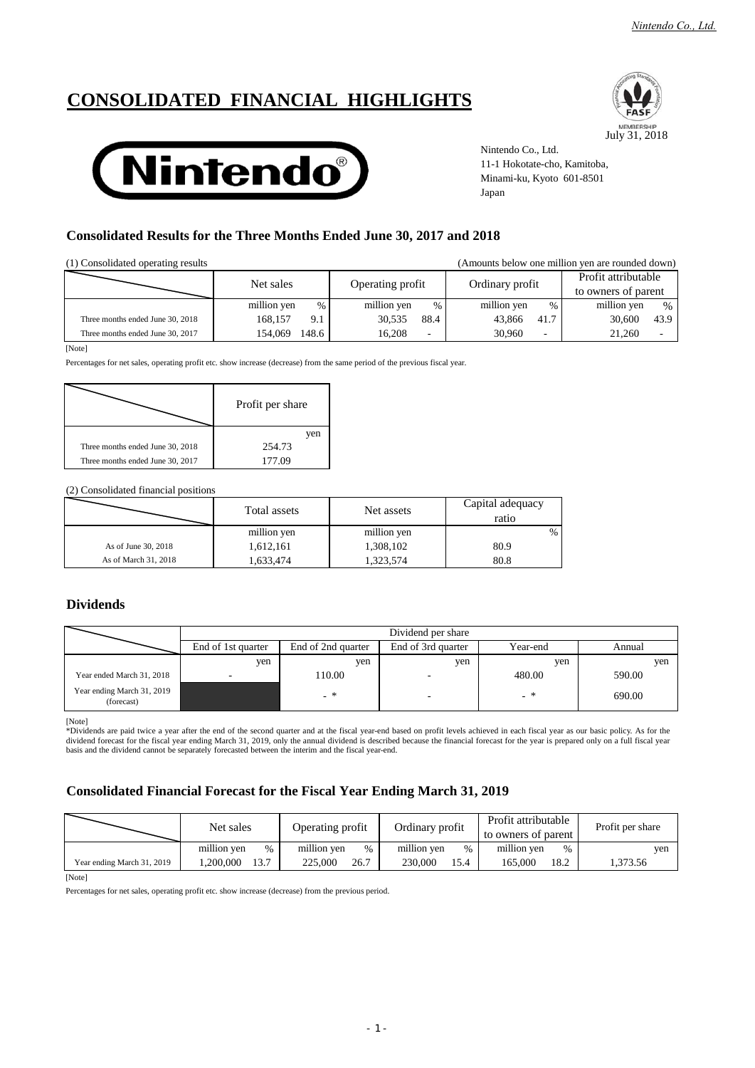*Nintendo Co., Ltd.*

# **CONSOLIDATED FINANCIAL HIGHLIGHTS**





Nintendo Co., Ltd. 11-1 Hokotate-cho, Kamitoba, Minami-ku, Kyoto 601-8501 Japan

### **Consolidated Results for the Three Months Ended June 30, 2017 and 2018**

| (1) Consolidated operating results<br>(Amounts below one million yen are rounded down) |                     |                     |                          |                     |  |  |
|----------------------------------------------------------------------------------------|---------------------|---------------------|--------------------------|---------------------|--|--|
|                                                                                        | Net sales           | Operating profit    | Ordinary profit          | Profit attributable |  |  |
|                                                                                        |                     |                     |                          | to owners of parent |  |  |
|                                                                                        | million yen<br>$\%$ | million yen<br>$\%$ | million yen<br>%         | million yen<br>%    |  |  |
| Three months ended June 30, 2018                                                       | 168.157<br>9.1      | 88.4<br>30,535      | 41.7<br>43,866           | 43.9<br>30,600      |  |  |
| Three months ended June 30, 2017                                                       | 148.6<br>154.069    | 16.208<br>٠         | 30,960<br>$\overline{a}$ | 21,260              |  |  |

[Note]

Percentages for net sales, operating profit etc. show increase (decrease) from the same period of the previous fiscal year.

|                                  | Profit per share |
|----------------------------------|------------------|
|                                  | ven              |
| Three months ended June 30, 2018 | 254.73           |
| Three months ended June 30, 2017 | 177.09           |

(2) Consolidated financial positions

|                      | Total assets<br>Net assets |             | Capital adequacy<br>ratio |
|----------------------|----------------------------|-------------|---------------------------|
|                      | million yen                | million yen | %                         |
| As of June 30, 2018  | 1,612,161                  | 1,308,102   | 80.9                      |
| As of March 31, 2018 | .633,474                   | 1,323,574   | 80.8                      |

### **Dividends**

|                                          | Dividend per share |                    |                    |          |        |  |  |
|------------------------------------------|--------------------|--------------------|--------------------|----------|--------|--|--|
|                                          | End of 1st quarter | End of 2nd quarter | End of 3rd quarter | Year-end | Annual |  |  |
|                                          | yen                | yen                | yen                | yen      | yen    |  |  |
| Year ended March 31, 2018                | -                  | 110.00             |                    | 480.00   | 590.00 |  |  |
| Year ending March 31, 2019<br>(forecast) |                    | _ ∗                | ۰                  | - *      | 690.00 |  |  |

[Note]

\*Dividends are paid twice a year after the end of the second quarter and at the fiscal year-end based on profit levels achieved in each fiscal year as our basic policy. As for the<br>dividend forecast for the fiscal year endi basis and the dividend cannot be separately forecasted between the interim and the fiscal year-end.

#### **Consolidated Financial Forecast for the Fiscal Year Ending March 31, 2019**

|                            | Net sales           | Operating profit | Ordinary profit     | Profit attributable<br>to owners of parent | Profit per share |
|----------------------------|---------------------|------------------|---------------------|--------------------------------------------|------------------|
|                            | million ven<br>$\%$ | million ven<br>% | million ven<br>$\%$ | million ven<br>%                           | yen              |
| Year ending March 31, 2019 | 13.7<br>.200.000    | 26.7<br>225,000  | 230,000<br>15.4     | 18.2<br>165.000                            | .373.56          |

[Note]

Percentages for net sales, operating profit etc. show increase (decrease) from the previous period.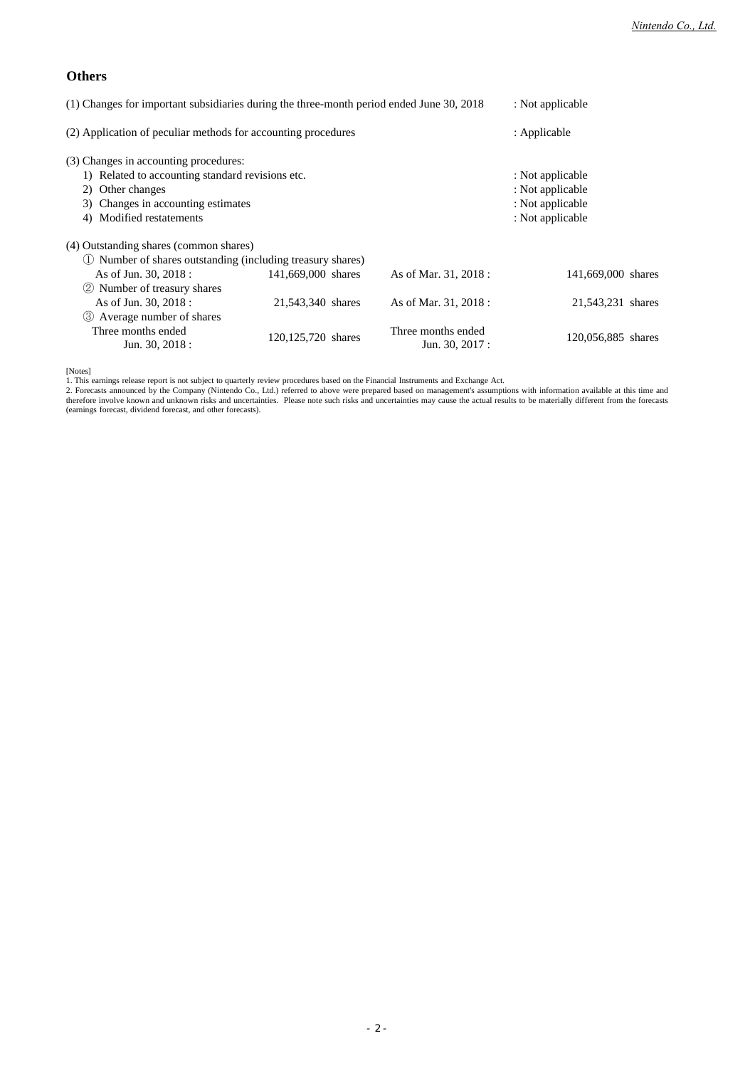### **Others**

| (1) Changes for important subsidiaries during the three-month period ended June 30, 2018                                                                                        | : Not applicable   |                                       |                                                                              |
|---------------------------------------------------------------------------------------------------------------------------------------------------------------------------------|--------------------|---------------------------------------|------------------------------------------------------------------------------|
| (2) Application of peculiar methods for accounting procedures                                                                                                                   |                    |                                       | : Applicable                                                                 |
| (3) Changes in accounting procedures:<br>1) Related to accounting standard revisions etc.<br>2) Other changes<br>3) Changes in accounting estimates<br>4) Modified restatements |                    |                                       | : Not applicable<br>: Not applicable<br>: Not applicable<br>: Not applicable |
| (4) Outstanding shares (common shares)                                                                                                                                          |                    |                                       |                                                                              |
| 1) Number of shares outstanding (including treasury shares)                                                                                                                     |                    |                                       |                                                                              |
| As of Jun. 30, 2018 :                                                                                                                                                           | 141,669,000 shares | As of Mar. 31, 2018 :                 | 141,669,000 shares                                                           |
| 2 Number of treasury shares                                                                                                                                                     |                    |                                       |                                                                              |
| As of Jun. 30, 2018 :                                                                                                                                                           | 21,543,340 shares  | As of Mar. 31, 2018 :                 | 21,543,231 shares                                                            |
| 3 Average number of shares<br>Three months ended<br>Jun. 30, 2018 :                                                                                                             | 120,125,720 shares | Three months ended<br>Jun. 30, 2017 : | 120,056,885 shares                                                           |

[Notes]<br>1. This earnings release report is not subject to quarterly review procedures based on the Financial Instruments and Exchange Act.<br>2. Forecasts announced by the Company (Nintendo Co., Ltd.) referred to above were p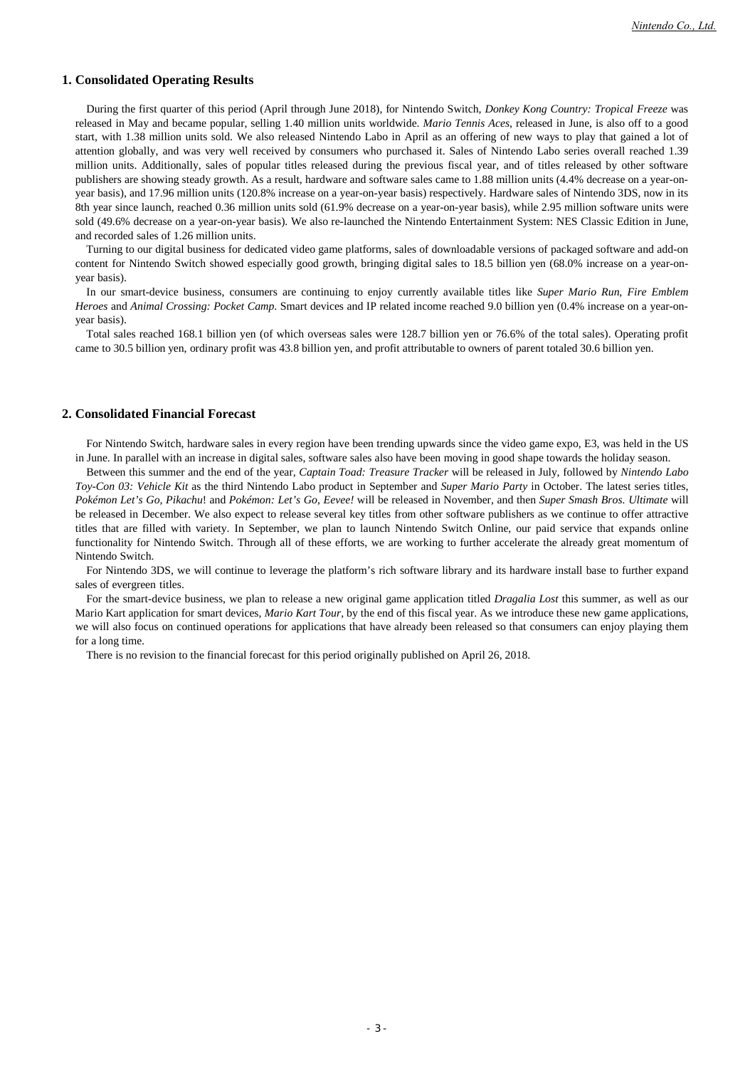#### **1. Consolidated Operating Results**

During the first quarter of this period (April through June 2018), for Nintendo Switch*, Donkey Kong Country: Tropical Freeze* was released in May and became popular, selling 1.40 million units worldwide. *Mario Tennis Aces*, released in June, is also off to a good start, with 1.38 million units sold. We also released Nintendo Labo in April as an offering of new ways to play that gained a lot of attention globally, and was very well received by consumers who purchased it. Sales of Nintendo Labo series overall reached 1.39 million units. Additionally, sales of popular titles released during the previous fiscal year, and of titles released by other software publishers are showing steady growth. As a result, hardware and software sales came to 1.88 million units (4.4% decrease on a year-onyear basis), and 17.96 million units (120.8% increase on a year-on-year basis) respectively. Hardware sales of Nintendo 3DS, now in its 8th year since launch, reached 0.36 million units sold (61.9% decrease on a year-on-year basis), while 2.95 million software units were sold (49.6% decrease on a year-on-year basis). We also re-launched the Nintendo Entertainment System: NES Classic Edition in June, and recorded sales of 1.26 million units.

Turning to our digital business for dedicated video game platforms, sales of downloadable versions of packaged software and add-on content for Nintendo Switch showed especially good growth, bringing digital sales to 18.5 billion yen (68.0% increase on a year-onyear basis).

In our smart-device business, consumers are continuing to enjoy currently available titles like *Super Mario Run*, *Fire Emblem Heroes* and *Animal Crossing: Pocket Camp*. Smart devices and IP related income reached 9.0 billion yen (0.4% increase on a year-onyear basis).

Total sales reached 168.1 billion yen (of which overseas sales were 128.7 billion yen or 76.6% of the total sales). Operating profit came to 30.5 billion yen, ordinary profit was 43.8 billion yen, and profit attributable to owners of parent totaled 30.6 billion yen.

#### **2. Consolidated Financial Forecast**

For Nintendo Switch, hardware sales in every region have been trending upwards since the video game expo, E3, was held in the US in June. In parallel with an increase in digital sales, software sales also have been moving in good shape towards the holiday season.

Between this summer and the end of the year, *Captain Toad: Treasure Tracker* will be released in July, followed by *Nintendo Labo Toy-Con 03: Vehicle Kit* as the third Nintendo Labo product in September and *Super Mario Party* in October. The latest series titles, *Pokémon Let's Go, Pikachu*! and *Pokémon: Let's Go, Eevee!* will be released in November, and then *Super Smash Bros. Ultimate* will be released in December. We also expect to release several key titles from other software publishers as we continue to offer attractive titles that are filled with variety. In September, we plan to launch Nintendo Switch Online, our paid service that expands online functionality for Nintendo Switch. Through all of these efforts, we are working to further accelerate the already great momentum of Nintendo Switch.

For Nintendo 3DS, we will continue to leverage the platform's rich software library and its hardware install base to further expand sales of evergreen titles.

For the smart-device business, we plan to release a new original game application titled *Dragalia Lost* this summer, as well as our Mario Kart application for smart devices, *Mario Kart Tour*, by the end of this fiscal year. As we introduce these new game applications, we will also focus on continued operations for applications that have already been released so that consumers can enjoy playing them for a long time.

There is no revision to the financial forecast for this period originally published on April 26, 2018.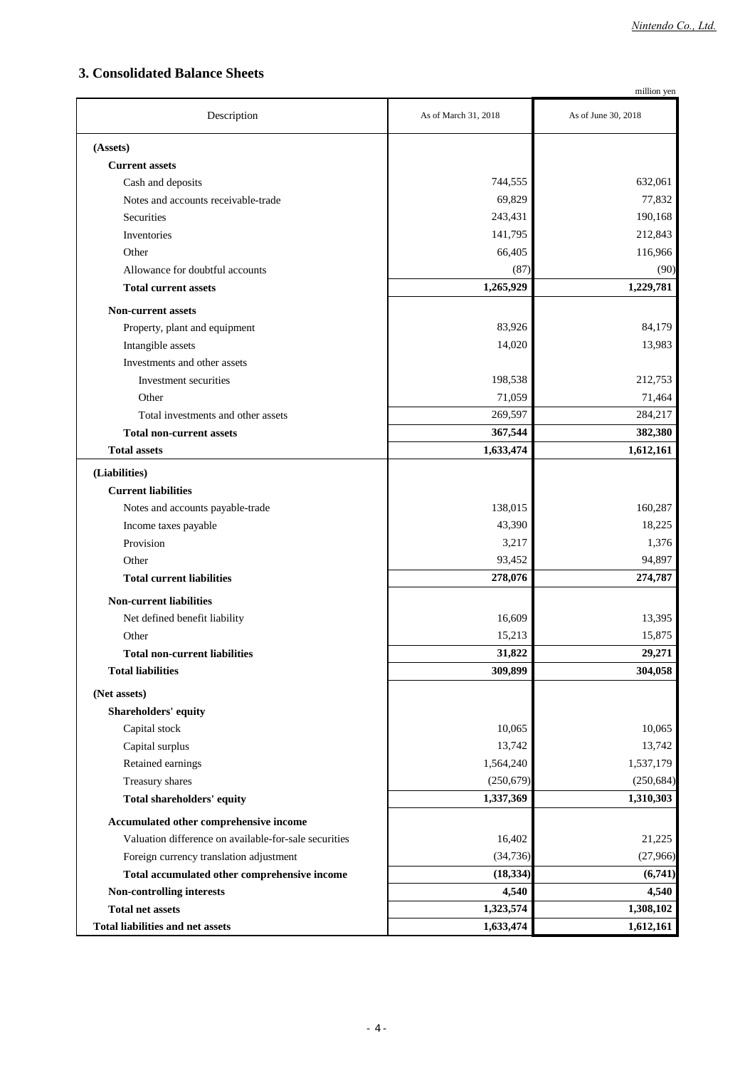## **3. Consolidated Balance Sheets**

|                                                       |                      | million yen         |
|-------------------------------------------------------|----------------------|---------------------|
| Description                                           | As of March 31, 2018 | As of June 30, 2018 |
| (Assets)                                              |                      |                     |
| <b>Current assets</b>                                 |                      |                     |
| Cash and deposits                                     | 744,555              | 632,061             |
| Notes and accounts receivable-trade                   | 69,829               | 77,832              |
| Securities                                            | 243,431              | 190,168             |
| Inventories                                           | 141,795              | 212,843             |
| Other                                                 | 66,405               | 116,966             |
| Allowance for doubtful accounts                       | (87)                 | (90)                |
| <b>Total current assets</b>                           | 1,265,929            | 1,229,781           |
| <b>Non-current assets</b>                             |                      |                     |
| Property, plant and equipment                         | 83,926               | 84,179              |
| Intangible assets                                     | 14,020               | 13,983              |
| Investments and other assets                          |                      |                     |
| Investment securities                                 | 198,538              | 212,753             |
| Other                                                 | 71,059               | 71,464              |
| Total investments and other assets                    | 269,597              | 284,217             |
| <b>Total non-current assets</b>                       | 367,544              | 382,380             |
| <b>Total assets</b>                                   | 1,633,474            | 1,612,161           |
| (Liabilities)                                         |                      |                     |
| <b>Current liabilities</b>                            |                      |                     |
| Notes and accounts payable-trade                      | 138,015              | 160,287             |
| Income taxes payable                                  | 43,390               | 18,225              |
| Provision                                             | 3,217                | 1,376               |
| Other                                                 | 93,452               | 94,897              |
| <b>Total current liabilities</b>                      | 278,076              | 274,787             |
| <b>Non-current liabilities</b>                        |                      |                     |
| Net defined benefit liability                         | 16,609               | 13,395              |
| Other                                                 | 15,213               | 15,875              |
| <b>Total non-current liabilities</b>                  | 31,822               | 29,271              |
| <b>Total liabilities</b>                              | 309,899              | 304,058             |
| (Net assets)                                          |                      |                     |
| <b>Shareholders' equity</b>                           |                      |                     |
| Capital stock                                         | 10,065               | 10,065              |
| Capital surplus                                       | 13,742               | 13,742              |
| Retained earnings                                     | 1,564,240            | 1,537,179           |
| Treasury shares                                       | (250, 679)           | (250, 684)          |
| Total shareholders' equity                            | 1,337,369            | 1,310,303           |
| Accumulated other comprehensive income                |                      |                     |
| Valuation difference on available-for-sale securities | 16,402               | 21,225              |
| Foreign currency translation adjustment               | (34, 736)            | (27,966)            |
| Total accumulated other comprehensive income          | (18, 334)            | (6,741)             |
| Non-controlling interests                             | 4,540                | 4,540               |
| <b>Total net assets</b>                               | 1,323,574            | 1,308,102           |
| <b>Total liabilities and net assets</b>               | 1,633,474            | 1,612,161           |
|                                                       |                      |                     |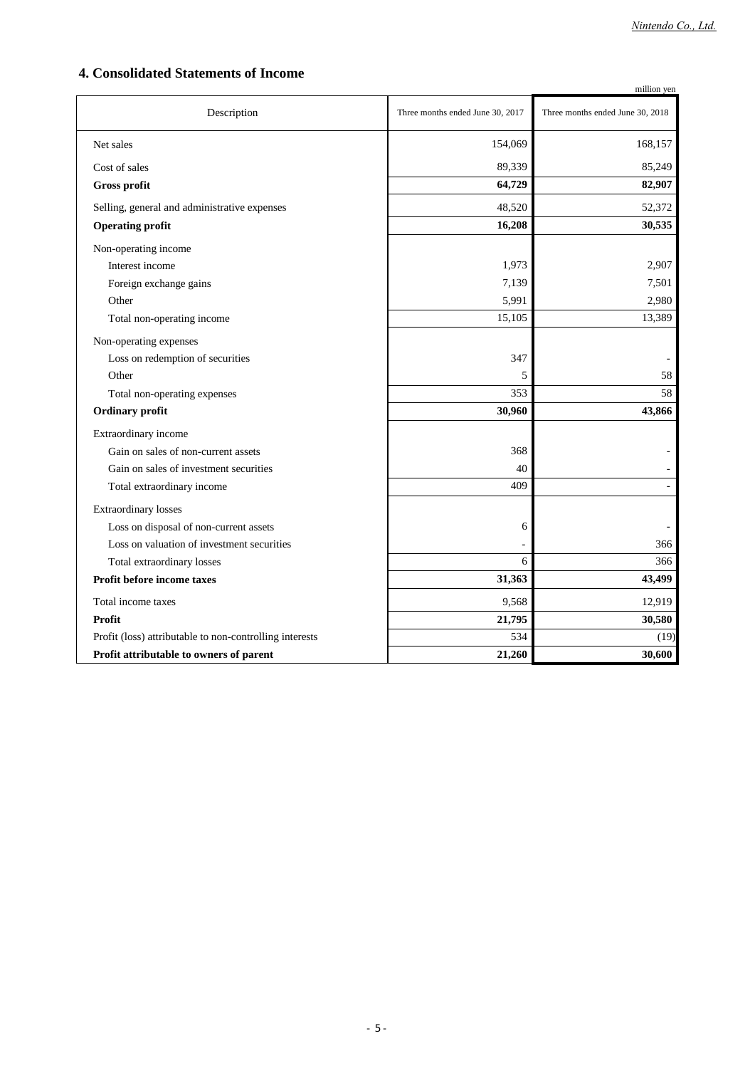# **4. Consolidated Statements of Income**

|                                                         |                                  | million yen                      |
|---------------------------------------------------------|----------------------------------|----------------------------------|
| Description                                             | Three months ended June 30, 2017 | Three months ended June 30, 2018 |
| Net sales                                               | 154,069                          | 168,157                          |
| Cost of sales                                           | 89,339                           | 85,249                           |
| <b>Gross profit</b>                                     | 64,729                           | 82,907                           |
| Selling, general and administrative expenses            | 48,520                           | 52,372                           |
| <b>Operating profit</b>                                 | 16,208                           | 30,535                           |
| Non-operating income                                    |                                  |                                  |
| Interest income                                         | 1,973                            | 2,907                            |
| Foreign exchange gains                                  | 7,139                            | 7,501                            |
| Other                                                   | 5,991                            | 2,980                            |
| Total non-operating income                              | 15,105                           | 13,389                           |
| Non-operating expenses                                  |                                  |                                  |
| Loss on redemption of securities                        | 347                              |                                  |
| Other                                                   | 5                                | 58                               |
| Total non-operating expenses                            | 353                              | 58                               |
| <b>Ordinary profit</b>                                  | 30,960                           | 43,866                           |
| Extraordinary income                                    |                                  |                                  |
| Gain on sales of non-current assets                     | 368                              |                                  |
| Gain on sales of investment securities                  | 40                               | ٠                                |
| Total extraordinary income                              | 409                              |                                  |
| <b>Extraordinary losses</b>                             |                                  |                                  |
| Loss on disposal of non-current assets                  | 6                                |                                  |
| Loss on valuation of investment securities              |                                  | 366                              |
| Total extraordinary losses                              | 6                                | 366                              |
| Profit before income taxes                              | 31,363                           | 43,499                           |
| Total income taxes                                      | 9,568                            | 12,919                           |
| <b>Profit</b>                                           | 21,795                           | 30,580                           |
| Profit (loss) attributable to non-controlling interests | 534                              | (19)                             |
| Profit attributable to owners of parent                 | 21,260                           | 30,600                           |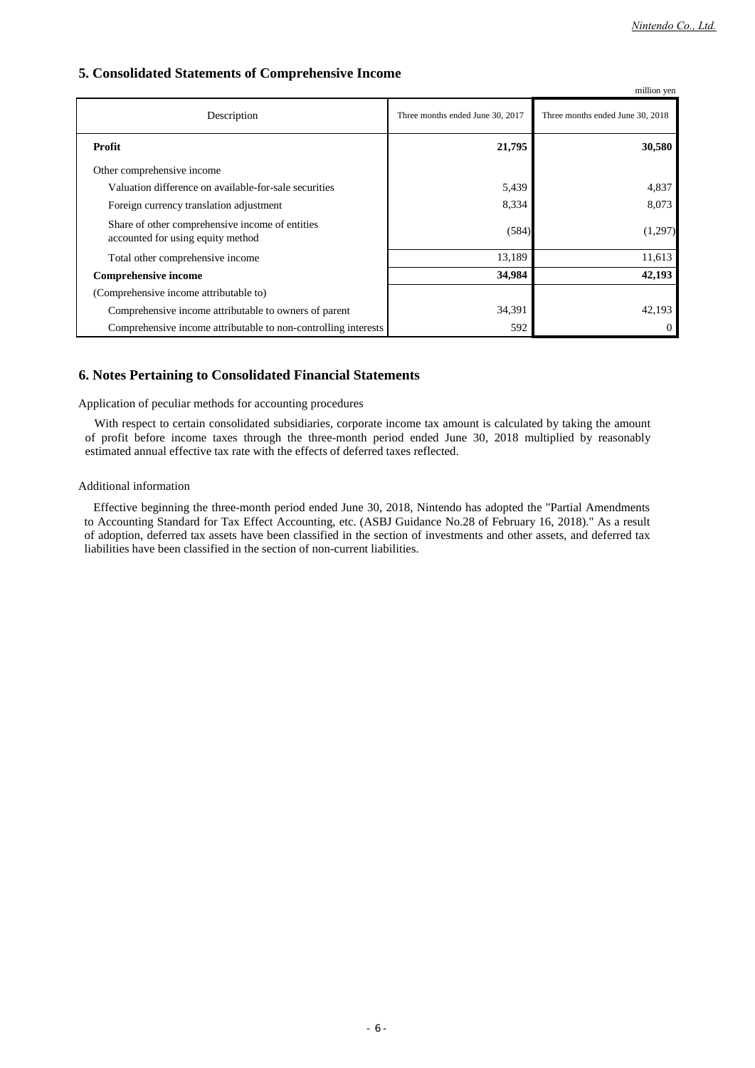#### **5. Consolidated Statements of Comprehensive Income**

|                                                                                      |                                  | million yen                      |
|--------------------------------------------------------------------------------------|----------------------------------|----------------------------------|
| Description                                                                          | Three months ended June 30, 2017 | Three months ended June 30, 2018 |
| <b>Profit</b>                                                                        | 21,795                           | 30,580                           |
| Other comprehensive income                                                           |                                  |                                  |
| Valuation difference on available-for-sale securities                                | 5,439                            | 4,837                            |
| Foreign currency translation adjustment                                              | 8,334                            | 8,073                            |
| Share of other comprehensive income of entities<br>accounted for using equity method | (584)                            | (1,297)                          |
| Total other comprehensive income                                                     | 13,189                           | 11,613                           |
| <b>Comprehensive income</b>                                                          | 34,984                           | 42,193                           |
| (Comprehensive income attributable to)                                               |                                  |                                  |
| Comprehensive income attributable to owners of parent                                | 34,391                           | 42,193                           |
| Comprehensive income attributable to non-controlling interests                       | 592                              | $\Omega$                         |

#### **6. Notes Pertaining to Consolidated Financial Statements**

Application of peculiar methods for accounting procedures

With respect to certain consolidated subsidiaries, corporate income tax amount is calculated by taking the amount of profit before income taxes through the three-month period ended June 30, 2018 multiplied by reasonably estimated annual effective tax rate with the effects of deferred taxes reflected.

#### Additional information

Effective beginning the three-month period ended June 30, 2018, Nintendo has adopted the "Partial Amendments to Accounting Standard for Tax Effect Accounting, etc. (ASBJ Guidance No.28 of February 16, 2018)." As a result of adoption, deferred tax assets have been classified in the section of investments and other assets, and deferred tax liabilities have been classified in the section of non-current liabilities.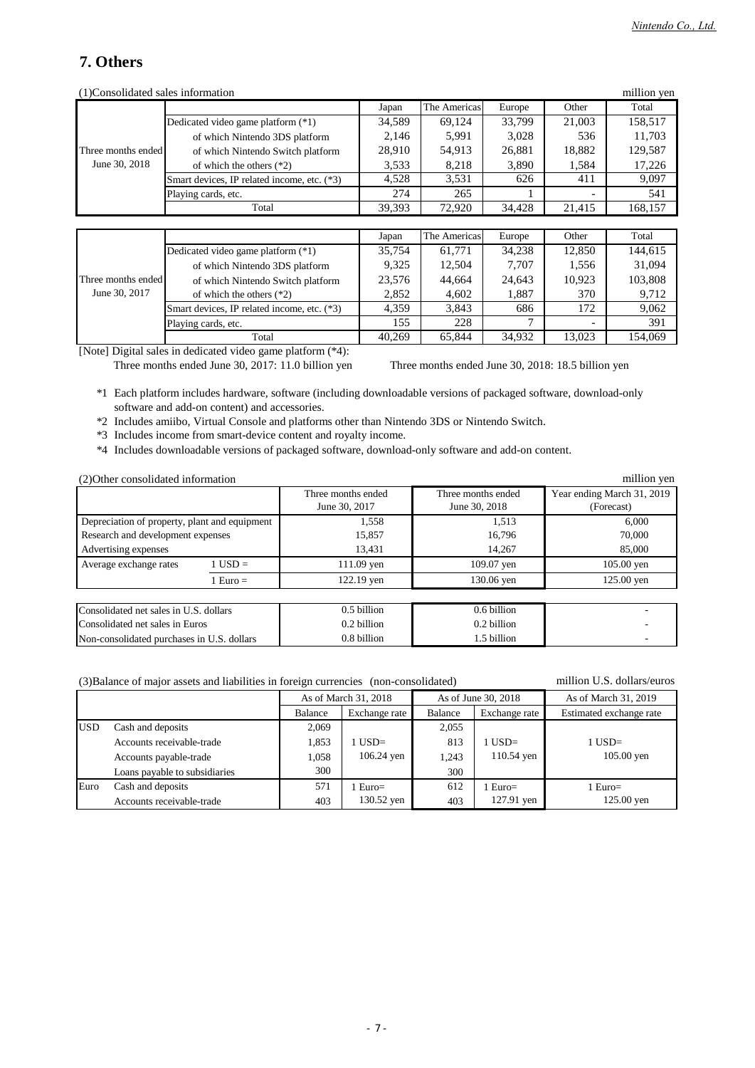# **7. Others**

| (1)Consolidated sales information |                                             |        |              |        |        | million yen |
|-----------------------------------|---------------------------------------------|--------|--------------|--------|--------|-------------|
|                                   |                                             | Japan  | The Americas | Europe | Other  | Total       |
|                                   | Dedicated video game platform (*1)          | 34,589 | 69,124       | 33,799 | 21,003 | 158,517     |
|                                   | of which Nintendo 3DS platform              | 2,146  | 5,991        | 3,028  | 536    | 11,703      |
| Three months ended                | of which Nintendo Switch platform           | 28,910 | 54,913       | 26,881 | 18,882 | 129,587     |
| June 30, 2018                     | of which the others $(*2)$                  | 3,533  | 8,218        | 3,890  | 1,584  | 17,226      |
|                                   | Smart devices, IP related income, etc. (*3) | 4,528  | 3,531        | 626    | 411    | 9,097       |
|                                   | Playing cards, etc.                         | 274    | 265          |        |        | 541         |
|                                   | Total                                       | 39,393 | 72,920       | 34,428 | 21,415 | 168,157     |
|                                   |                                             |        |              |        |        |             |
|                                   |                                             | Japan  | The Americas | Europe | Other  | Total       |
|                                   | Dedicated video game platform (*1)          | 35,754 | 61,771       | 34,238 | 12,850 | 144,615     |
|                                   | of which Nintendo 3DS platform              | 9,325  | 12,504       | 7,707  | 1,556  | 31,094      |
| Three months ended                | of which Nintendo Switch platform           | 23,576 | 44,664       | 24,643 | 10,923 | 103,808     |
| June 30, 2017                     | of which the others $(*2)$                  | 2,852  | 4,602        | 1,887  | 370    | 9,712       |
|                                   | Smart devices, IP related income, etc. (*3) | 4,359  | 3,843        | 686    | 172    | 9,062       |
|                                   | Playing cards, etc.                         | 155    | 228          |        |        | 391         |
|                                   | Total                                       | 40,269 | 65,844       | 34,932 | 13,023 | 154,069     |

[Note] Digital sales in dedicated video game platform (\*4):

Three months ended June 30, 2017: 11.0 billion yen Three months ended June 30, 2018: 18.5 billion yen

\*1 Each platform includes hardware, software (including downloadable versions of packaged software, download-only software and add-on content) and accessories.

\*2 Includes amiibo, Virtual Console and platforms other than Nintendo 3DS or Nintendo Switch.

\*3 Includes income from smart-device content and royalty income.

\*4 Includes downloadable versions of packaged software, download-only software and add-on content.

| (2) Other consolidated information            |             |                    |                    | million yen                |
|-----------------------------------------------|-------------|--------------------|--------------------|----------------------------|
|                                               |             | Three months ended | Three months ended | Year ending March 31, 2019 |
|                                               |             | June 30, 2017      | June 30, 2018      | (Forecast)                 |
| Depreciation of property, plant and equipment |             | 1,558              | 1,513              | 6,000                      |
| Research and development expenses             |             | 15,857             | 16.796             | 70,000                     |
| Advertising expenses                          |             |                    | 14.267             | 85,000                     |
| Average exchange rates                        | $1$ USD $=$ | 111.09 yen         | $109.07$ yen       | $105.00$ yen               |
|                                               | $1 Euro =$  | $122.19$ yen       | 130.06 yen         | $125.00$ yen               |
|                                               |             |                    |                    |                            |
| Consolidated net sales in U.S. dollars        |             | 0.5 billion        | $0.6$ billion      |                            |
| Consolidated net sales in Euros               |             | $0.2$ billion      | $0.2$ billion      |                            |
| Non-consolidated purchases in U.S. dollars    |             | $0.8$ billion      | 1.5 billion        |                            |

#### (3)Balance of major assets and liabilities in foreign currencies (non-consolidated) million U.S. dollars/euros

|            |                               | As of March 31, 2018 |               | As of June 30, 2018 |               | As of March 31, 2019    |
|------------|-------------------------------|----------------------|---------------|---------------------|---------------|-------------------------|
|            |                               | Balance              | Exchange rate | <b>Balance</b>      | Exchange rate | Estimated exchange rate |
| <b>USD</b> | Cash and deposits             | 2,069                |               | 2.055               |               |                         |
|            | Accounts receivable-trade     | 1,853                | l USD=        | 813                 | l USD=        | $1$ USD $=$             |
|            | Accounts payable-trade        | 1,058                | 106.24 yen    | 1,243               | $110.54$ yen  | $105.00$ yen            |
|            | Loans payable to subsidiaries | 300                  |               | 300                 |               |                         |
| Euro       | Cash and deposits             | 571                  | $Euro=$       | 612                 | l Euro=       | 1 Euro=                 |
|            | Accounts receivable-trade     | 403                  | 130.52 yen    | 403                 | 127.91 yen    | $125.00$ yen            |